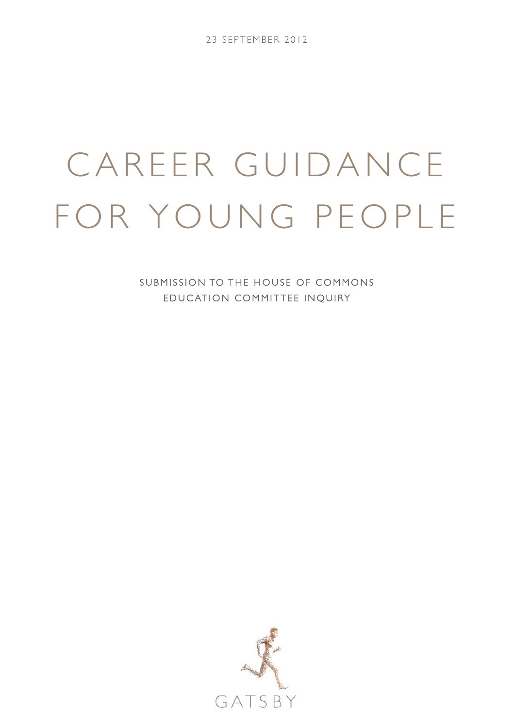# CAREER GUIDANCE FOR YOUNG PEOPLE

SUBMISSION TO THE HOUSE OF COMMONS EDUC ATION COMMITTEE INQUIRY

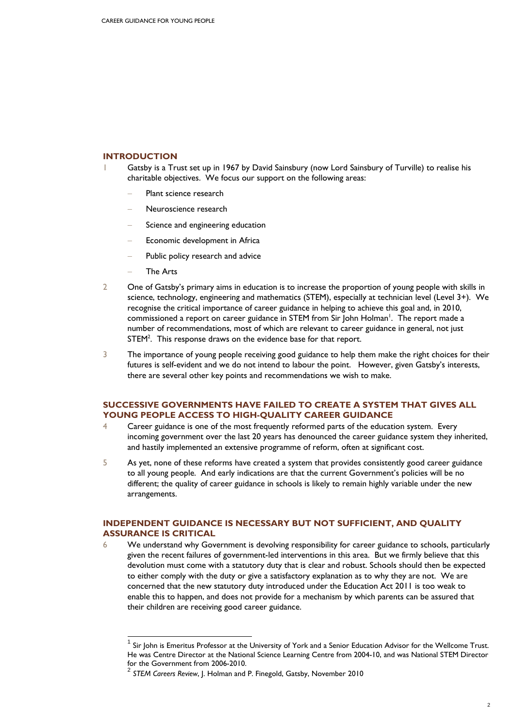# **INTRODUCTION**

- 1 Gatsby is a Trust set up in 1967 by David Sainsbury (now Lord Sainsbury of Turville) to realise his charitable objectives. We focus our support on the following areas:
	- Plant science research
	- − Neuroscience research
	- Science and engineering education
	- Economic development in Africa
	- Public policy research and advice
	- − The Arts

 $\overline{a}$ 

- 2 One of Gatsby's primary aims in education is to increase the proportion of young people with skills in science, technology, engineering and mathematics (STEM), especially at technician level (Level 3+). We recognise the critical importance of career guidance in helping to achieve this goal and, in 2010, commissioned a report on career guidance in STEM from Sir John Holman<sup>1</sup>. The report made a number of recommendations, most of which are relevant to career guidance in general, not just STEM<sup>2</sup>. This response draws on the evidence base for that report.
- 3 The importance of young people receiving good guidance to help them make the right choices for their futures is self-evident and we do not intend to labour the point. However, given Gatsby's interests, there are several other key points and recommendations we wish to make.

# **SUCCESSIVE GOVERNMENTS HAVE FAILED TO CREATE A SYSTEM THAT GIVES ALL YOUNG PEOPLE ACCESS TO HIGH-QUALITY CAREER GUIDANCE**

- 4 Career guidance is one of the most frequently reformed parts of the education system. Every incoming government over the last 20 years has denounced the career guidance system they inherited, and hastily implemented an extensive programme of reform, often at significant cost.
- 5 As yet, none of these reforms have created a system that provides consistently good career guidance to all young people. And early indications are that the current Government's policies will be no different; the quality of career guidance in schools is likely to remain highly variable under the new arrangements.

### **INDEPENDENT GUIDANCE IS NECESSARY BUT NOT SUFFICIENT, AND QUALITY ASSURANCE IS CRITICAL**

6 We understand why Government is devolving responsibility for career guidance to schools, particularly given the recent failures of government-led interventions in this area. But we firmly believe that this devolution must come with a statutory duty that is clear and robust. Schools should then be expected to either comply with the duty or give a satisfactory explanation as to why they are not. We are concerned that the new statutory duty introduced under the Education Act 2011 is too weak to enable this to happen, and does not provide for a mechanism by which parents can be assured that their children are receiving good career guidance.

Sir John is Emeritus Professor at the University of York and a Senior Education Advisor for the Wellcome Trust. He was Centre Director at the National Science Learning Centre from 2004-10, and was National STEM Director for the Government from 2006-2010.<br><sup>2</sup> *STEM Careers Review*, J. Holman and P. Finegold, Gatsby, November 2010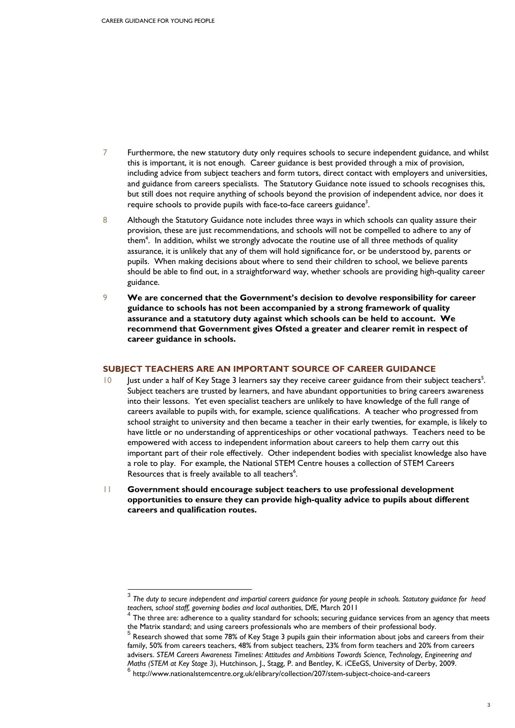$\overline{a}$ 

- 7 Furthermore, the new statutory duty only requires schools to secure independent guidance, and whilst this is important, it is not enough. Career guidance is best provided through a mix of provision, including advice from subject teachers and form tutors, direct contact with employers and universities, and guidance from careers specialists. The Statutory Guidance note issued to schools recognises this, but still does not require anything of schools beyond the provision of independent advice, nor does it require schools to provide pupils with face-to-face careers guidance<sup>3</sup>.
- 8 Although the Statutory Guidance note includes three ways in which schools can quality assure their provision, these are just recommendations, and schools will not be compelled to adhere to any of them<sup>4</sup>. In addition, whilst we strongly advocate the routine use of all three methods of quality assurance, it is unlikely that any of them will hold significance for, or be understood by, parents or pupils. When making decisions about where to send their children to school, we believe parents should be able to find out, in a straightforward way, whether schools are providing high-quality career guidance.
- 9 **We are concerned that the Government's decision to devolve responsibility for career guidance to schools has not been accompanied by a strong framework of quality assurance and a statutory duty against which schools can be held to account. We recommend that Government gives Ofsted a greater and clearer remit in respect of career guidance in schools.**

### **SUBJECT TEACHERS ARE AN IMPORTANT SOURCE OF CAREER GUIDANCE**

- 10 Just under a half of Key Stage 3 learners say they receive career guidance from their subject teachers<sup>5</sup>. Subject teachers are trusted by learners, and have abundant opportunities to bring careers awareness into their lessons. Yet even specialist teachers are unlikely to have knowledge of the full range of careers available to pupils with, for example, science qualifications. A teacher who progressed from school straight to university and then became a teacher in their early twenties, for example, is likely to have little or no understanding of apprenticeships or other vocational pathways. Teachers need to be empowered with access to independent information about careers to help them carry out this important part of their role effectively. Other independent bodies with specialist knowledge also have a role to play. For example, the National STEM Centre houses a collection of STEM Careers Resources that is freely available to all teachers<sup>6</sup>.
- 11 **Government should encourage subject teachers to use professional development opportunities to ensure they can provide high-quality advice to pupils about different careers and qualification routes.**

<sup>3</sup> *The duty to secure independent and impartial careers guidance for young people in schools. Statutory guidance for head teachers, school staff, governing bodies and local authorities*, DfE, March 2011

The three are: adherence to a quality standard for schools; securing guidance services from an agency that meets the Matrix standard; and using careers professionals who are members of their professional body.<br><sup>5</sup> Research showed that sexus 70% of 1% and all the sexus 10% of their professional body.

Research showed that some 78% of Key Stage 3 pupils gain their information about jobs and careers from their family, 50% from careers teachers, 48% from subject teachers, 23% from form teachers and 20% from careers advisers. *STEM Careers Awareness Timelines: Attitudes and Ambitions Towards Science, Technology, Engineering and Maths (STEM at Key Stage 3)*, Hutchinson, J., Stagg, P. and Bentley, K. iCEeGS, University of Derby, 2009.<br><sup>6</sup> http://www.nationalstemcentre.org.uk/elibrary/collection/207/stem-subject-choice-and-careers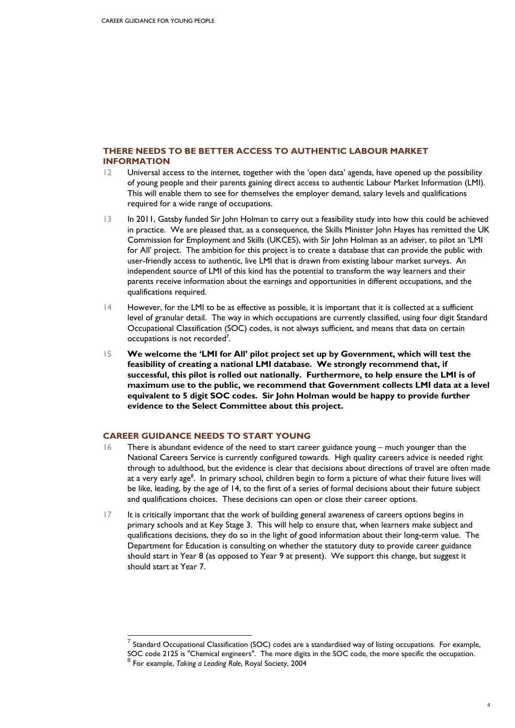# **THERE NEEDS TO BE BETTER ACCESS TO AUTHENTIC LABOUR MARKET INFORMATION**

- 12 Universal access to the internet, together with the 'open data' agenda, have opened up the possibility of young people and their parents gaining direct access to authentic Labour Market Information (LMI). This will enable them to see for themselves the employer demand, salary levels and qualifications required for a wide range of occupations.
- 13 In 2011, Gatsby funded Sir John Holman to carry out a feasibility study into how this could be achieved in practice. We are pleased that, as a consequence, the Skills Minister John Hayes has remitted the UK Commission for Employment and Skills (UKCES), with Sir John Holman as an adviser, to pilot an 'LMI for All' project. The ambition for this project is to create a database that can provide the public with user-friendly access to authentic, live LMI that is drawn from existing labour market surveys. An independent source of LMI of this kind has the potential to transform the way learners and their parents receive information about the earnings and opportunities in different occupations, and the qualifications required.
- 14 However, for the LMI to be as effective as possible, it is important that it is collected at a sufficient level of granular detail. The way in which occupations are currently classified, using four digit Standard Occupational Classification (SOC) codes, is not always sufficient, and means that data on certain occupations is not recorded<sup>7</sup>.
- 15 **We welcome the 'LMI for All' pilot project set up by Government, which will test the feasibility of creating a national LMI database. We strongly recommend that, if successful, this pilot is rolled out nationally. Furthermore, to help ensure the LMI is of maximum use to the public, we recommend that Government collects LMI data at a level equivalent to 5 digit SOC codes. Sir John Holman would be happy to provide further evidence to the Select Committee about this project.**

# **CAREER GUIDANCE NEEDS TO START YOUNG**

- 16 There is abundant evidence of the need to start career guidance young much younger than the National Careers Service is currently configured towards. High quality careers advice is needed right through to adulthood, but the evidence is clear that decisions about directions of travel are often made at a very early age<sup>8</sup>. In primary school, children begin to form a picture of what their future lives will be like, leading, by the age of 14, to the first of a series of formal decisions about their future subject and qualifications choices. These decisions can open or close their career options.
- 17 It is critically important that the work of building general awareness of careers options begins in primary schools and at Key Stage 3. This will help to ensure that, when learners make subject and qualifications decisions, they do so in the light of good information about their long-term value. The Department for Education is consulting on whether the statutory duty to provide career guidance should start in Year 8 (as opposed to Year 9 at present). We support this change, but suggest it should start at Year 7.

 $\overline{a}$ 

Standard Occupational Classification (SOC) codes are a standardised way of listing occupations. For example, SOC code 2125 is "Chemical engineers". The more digits in the SOC code, the more specific the occupation.<br><sup>8</sup> For example, *Taking a Leading Role*, Royal Society, 2004